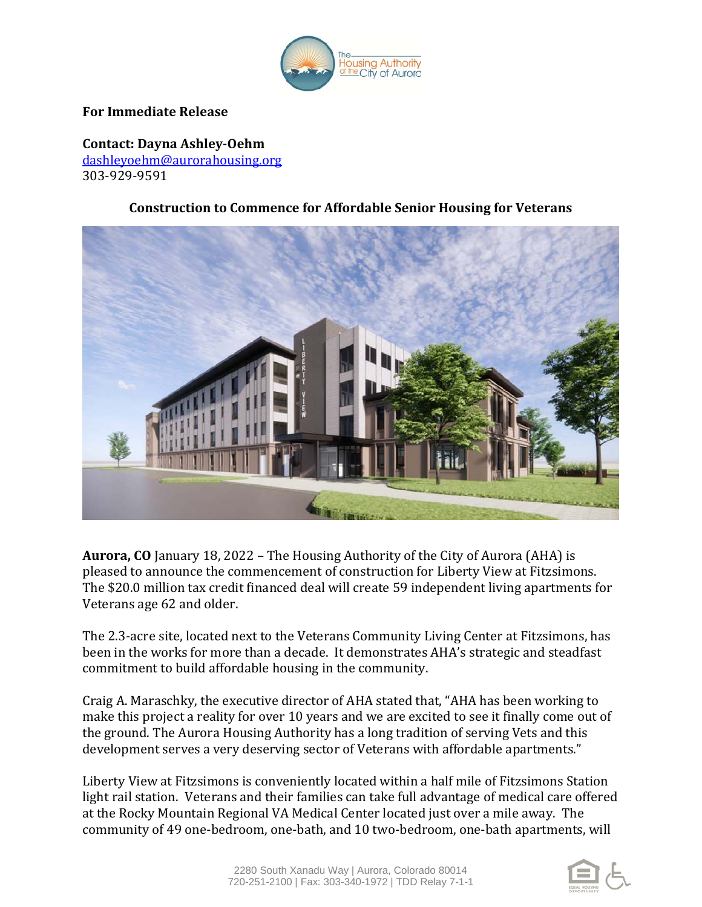

## **For Immediate Release**

**Contact: Dayna Ashley-Oehm**  [dashleyoehm@aurorahousing.org](mailto:dashleyoehm@aurorahousing.org) 303-929-9591

## **Construction to Commence for Affordable Senior Housing for Veterans**



**Aurora, CO** January 18, 2022 – The Housing Authority of the City of Aurora (AHA) is pleased to announce the commencement of construction for Liberty View at Fitzsimons. The \$20.0 million tax credit financed deal will create 59 independent living apartments for Veterans age 62 and older.

The 2.3-acre site, located next to the Veterans Community Living Center at Fitzsimons, has been in the works for more than a decade. It demonstrates AHA's strategic and steadfast commitment to build affordable housing in the community.

Craig A. Maraschky, the executive director of AHA stated that, "AHA has been working to make this project a reality for over 10 years and we are excited to see it finally come out of the ground. The Aurora Housing Authority has a long tradition of serving Vets and this development serves a very deserving sector of Veterans with affordable apartments."

Liberty View at Fitzsimons is conveniently located within a half mile of Fitzsimons Station light rail station. Veterans and their families can take full advantage of medical care offered at the Rocky Mountain Regional VA Medical Center located just over a mile away. The community of 49 one-bedroom, one-bath, and 10 two-bedroom, one-bath apartments, will